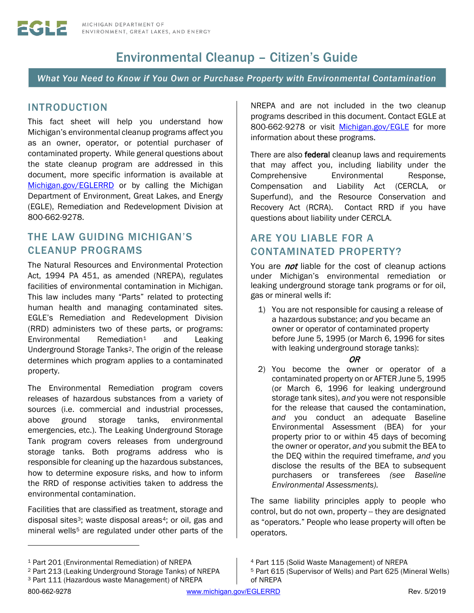# Environmental Cleanup – Citizen's Guide

*What You Need to Know if You Own or Purchase Property with Environmental Contamination*

## INTRODUCTION

This fact sheet will help you understand how Michigan's environmental cleanup programs affect you as an owner, operator, or potential purchaser of contaminated property. While general questions about the state cleanup program are addressed in this document, more specific information is available at [Michigan.gov/EGLERRD](http://www.michigan.gov/deqrrd) or by calling the Michigan Department of Environment, Great Lakes, and Energy (EGLE), Remediation and Redevelopment Division at 800-662-9278.

## THE LAW GUIDING MICHIGAN'S CLEANUP PROGRAMS

The Natural Resources and Environmental Protection Act, 1994 PA 451, as amended (NREPA), regulates facilities of environmental contamination in Michigan. This law includes many "Parts" related to protecting human health and managing contaminated sites. EGLE's Remediation and Redevelopment Division (RRD) administers two of these parts, or programs: Environmental Remediation<sup>[1](#page-0-0)</sup> and Leaking Underground Storage Tanks[2](#page-0-1). The origin of the release determines which program applies to a contaminated property.

The Environmental Remediation program covers releases of hazardous substances from a variety of sources (i.e. commercial and industrial processes, above ground storage tanks, environmental emergencies, etc.). The Leaking Underground Storage Tank program covers releases from underground storage tanks. Both programs address who is responsible for cleaning up the hazardous substances, how to determine exposure risks, and how to inform the RRD of response activities taken to address the environmental contamination.

Facilities that are classified as treatment, storage and disposal sites<sup>3</sup>; waste disposal areas<sup>[4](#page-0-0)</sup>; or oil, gas and mineral wells<sup>[5](#page-0-1)</sup> are regulated under other parts of the

NREPA and are not included in the two cleanup programs described in this document. Contact EGLE at 800-662-9278 or visit [Michigan.gov/EGLE](http://www.michigan.gov/EGLE) for more information about these programs.

There are also **federal** cleanup laws and requirements that may affect you, including liability under the Comprehensive Environmental Response, Compensation and Liability Act (CERCLA, or Superfund), and the Resource Conservation and Recovery Act (RCRA). Contact RRD if you have questions about liability under CERCLA.

## ARE YOU LIABLE FOR A CONTAMINATED PROPERTY?

You are *not* liable for the cost of cleanup actions under Michigan's environmental remediation or leaking underground storage tank programs or for oil, gas or mineral wells if:

1) You are not responsible for causing a release of a hazardous substance; *and* you became an owner or operator of contaminated property before June 5, 1995 (or March 6, 1996 for sites with leaking underground storage tanks):

#### OR

2) You become the owner or operator of a contaminated property on or AFTER June 5, 1995 (or March 6, 1996 for leaking underground storage tank sites), *and* you were not responsible for the release that caused the contamination, *and* you conduct an adequate Baseline Environmental Assessment (BEA) for your property prior to or within 45 days of becoming the owner or operator, *and* you submit the BEA to the DEQ within the required timeframe, *and* you disclose the results of the BEA to subsequent purchasers or transferees *(see Baseline Environmental Assessments).*

The same liability principles apply to people who control, but do not own, property -- they are designated as "operators." People who lease property will often be operators.

<sup>5</sup> Part 615 (Supervisor of Wells) and Part 625 (Mineral Wells)

<sup>4</sup> Part 115 (Solid Waste Management) of NREPA

of NREPA

<span id="page-0-0"></span><sup>1</sup> Part 201 (Environmental Remediation) of NREPA

<span id="page-0-1"></span><sup>2</sup> Part 213 (Leaking Underground Storage Tanks) of NREPA

<span id="page-0-2"></span><sup>3</sup> Part 111 (Hazardous waste Management) of NREPA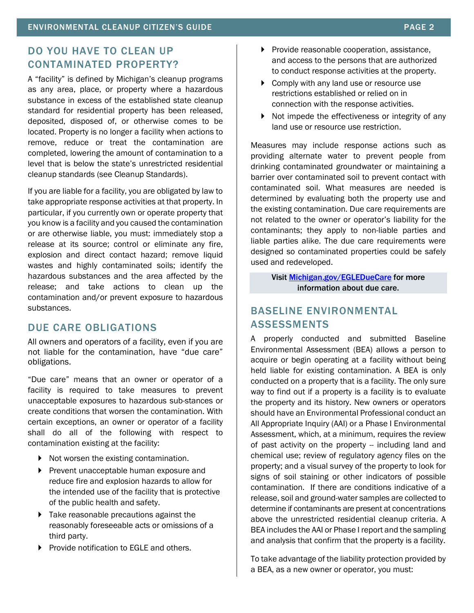## DO YOU HAVE TO CLEAN UP CONTAMINATED PROPERTY?

A "facility" is defined by Michigan's cleanup programs as any area, place, or property where a hazardous substance in excess of the established state cleanup standard for residential property has been released, deposited, disposed of, or otherwise comes to be located. Property is no longer a facility when actions to remove, reduce or treat the contamination are completed, lowering the amount of contamination to a level that is below the state's unrestricted residential cleanup standards (see Cleanup Standards).

If you are liable for a facility, you are obligated by law to take appropriate response activities at that property. In particular, if you currently own or operate property that you know is a facility and you caused the contamination or are otherwise liable, you must: immediately stop a release at its source; control or eliminate any fire, explosion and direct contact hazard; remove liquid wastes and highly contaminated soils; identify the hazardous substances and the area affected by the release; and take actions to clean up the contamination and/or prevent exposure to hazardous substances.

### DUE CARE OBLIGATIONS

All owners and operators of a facility, even if you are not liable for the contamination, have "due care" obligations.

"Due care" means that an owner or operator of a facility is required to take measures to prevent unacceptable exposures to hazardous sub-stances or create conditions that worsen the contamination. With certain exceptions, an owner or operator of a facility shall do all of the following with respect to contamination existing at the facility:

- Not worsen the existing contamination.
- **Prevent unacceptable human exposure and** reduce fire and explosion hazards to allow for the intended use of the facility that is protective of the public health and safety.
- Take reasonable precautions against the reasonably foreseeable acts or omissions of a third party.
- **Provide notification to EGLE and others.**
- Provide reasonable cooperation, assistance, and access to the persons that are authorized to conduct response activities at the property.
- ▶ Comply with any land use or resource use restrictions established or relied on in connection with the response activities.
- $\triangleright$  Not impede the effectiveness or integrity of any land use or resource use restriction.

Measures may include response actions such as providing alternate water to prevent people from drinking contaminated groundwater or maintaining a barrier over contaminated soil to prevent contact with contaminated soil. What measures are needed is determined by evaluating both the property use and the existing contamination. Due care requirements are not related to the owner or operator's liability for the contaminants; they apply to non-liable parties and liable parties alike. The due care requirements were designed so contaminated properties could be safely used and redeveloped.

> Visit [Michigan.gov/EGLEDueCare](http://www.michigan.gov/EGLEDueCare) for more information about due care.

## BASELINE ENVIRONMENTAL ASSESSMENTS

A properly conducted and submitted Baseline Environmental Assessment (BEA) allows a person to acquire or begin operating at a facility without being held liable for existing contamination. A BEA is only conducted on a property that is a facility. The only sure way to find out if a property is a facility is to evaluate the property and its history. New owners or operators should have an Environmental Professional conduct an All Appropriate Inquiry (AAI) or a Phase I Environmental Assessment, which, at a minimum, requires the review of past activity on the property – including land and chemical use; review of regulatory agency files on the property; and a visual survey of the property to look for signs of soil staining or other indicators of possible contamination. If there are conditions indicative of a release, soil and ground-water samples are collected to determine if contaminants are present at concentrations above the unrestricted residential cleanup criteria. A BEA includes the AAI or Phase I report and the sampling and analysis that confirm that the property is a facility.

To take advantage of the liability protection provided by a BEA, as a new owner or operator, you must: